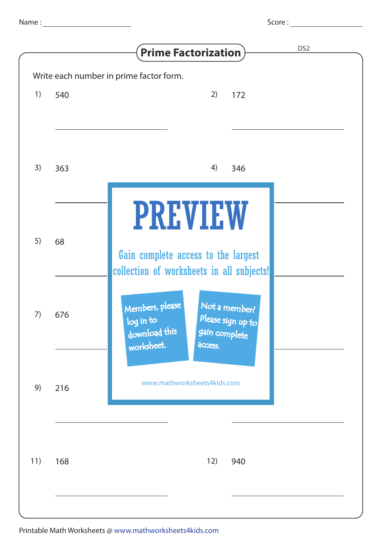|                  | × |
|------------------|---|
| ٠<br>٧<br>٧<br>٧ |   |

|     |     | DS <sub>2</sub><br><b>Prime Factorization</b>                                                                                 |
|-----|-----|-------------------------------------------------------------------------------------------------------------------------------|
|     |     | Write each number in prime factor form.                                                                                       |
| 1)  | 540 | 2)<br>172                                                                                                                     |
|     |     |                                                                                                                               |
|     |     |                                                                                                                               |
| 3)  | 363 | 4)<br>346                                                                                                                     |
|     |     |                                                                                                                               |
| 5)  | 68  | <b>PREVIEW</b><br>Gain complete access to the largest<br>collection of worksheets in all subjects!                            |
| 7)  | 676 | Members, please<br>Not a member?<br>Please sign up to<br>log in to<br>download this<br>gain complete<br>worksheet.<br>access. |
| 9)  | 216 | www.mathworksheets4kids.com                                                                                                   |
| 11) | 168 | 12)<br>940                                                                                                                    |
|     |     |                                                                                                                               |